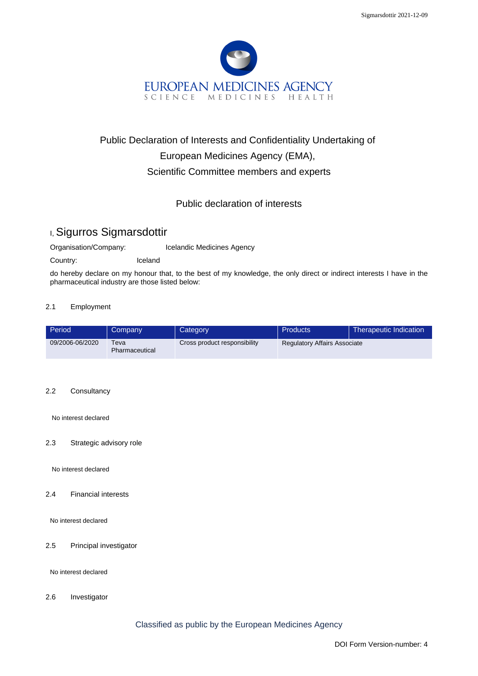

# Public Declaration of Interests and Confidentiality Undertaking of European Medicines Agency (EMA), Scientific Committee members and experts

## Public declaration of interests

# I, Sigurros Sigmarsdottir

Organisation/Company: Icelandic Medicines Agency

Country: Iceland

do hereby declare on my honour that, to the best of my knowledge, the only direct or indirect interests I have in the pharmaceutical industry are those listed below:

#### 2.1 Employment

| Period          | Company                | Category                     | Products                            | Therapeutic Indication |
|-----------------|------------------------|------------------------------|-------------------------------------|------------------------|
| 09/2006-06/2020 | Teva<br>Pharmaceutical | Cross product responsibility | <b>Regulatory Affairs Associate</b> |                        |

#### 2.2 Consultancy

No interest declared

#### 2.3 Strategic advisory role

No interest declared

2.4 Financial interests

No interest declared

2.5 Principal investigator

No interest declared

2.6 Investigator

Classified as public by the European Medicines Agency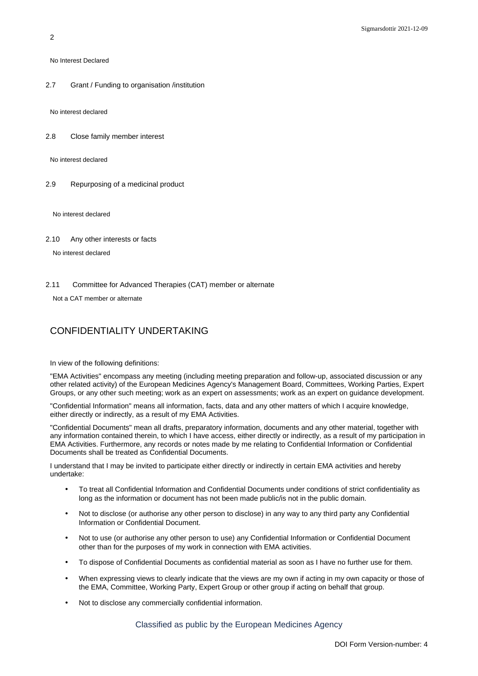No Interest Declared

2.7 Grant / Funding to organisation /institution

No interest declared

2.8 Close family member interest

No interest declared

2.9 Repurposing of a medicinal product

No interest declared

2.10 Any other interests or facts

No interest declared

2.11 Committee for Advanced Therapies (CAT) member or alternate

Not a CAT member or alternate

### CONFIDENTIALITY UNDERTAKING

In view of the following definitions:

"EMA Activities" encompass any meeting (including meeting preparation and follow-up, associated discussion or any other related activity) of the European Medicines Agency's Management Board, Committees, Working Parties, Expert Groups, or any other such meeting; work as an expert on assessments; work as an expert on guidance development.

"Confidential Information" means all information, facts, data and any other matters of which I acquire knowledge, either directly or indirectly, as a result of my EMA Activities.

"Confidential Documents" mean all drafts, preparatory information, documents and any other material, together with any information contained therein, to which I have access, either directly or indirectly, as a result of my participation in EMA Activities. Furthermore, any records or notes made by me relating to Confidential Information or Confidential Documents shall be treated as Confidential Documents.

I understand that I may be invited to participate either directly or indirectly in certain EMA activities and hereby undertake:

- To treat all Confidential Information and Confidential Documents under conditions of strict confidentiality as long as the information or document has not been made public/is not in the public domain.
- Not to disclose (or authorise any other person to disclose) in any way to any third party any Confidential Information or Confidential Document.
- Not to use (or authorise any other person to use) any Confidential Information or Confidential Document other than for the purposes of my work in connection with EMA activities.
- To dispose of Confidential Documents as confidential material as soon as I have no further use for them.
- When expressing views to clearly indicate that the views are my own if acting in my own capacity or those of the EMA, Committee, Working Party, Expert Group or other group if acting on behalf that group.
- Not to disclose any commercially confidential information.

Classified as public by the European Medicines Agency